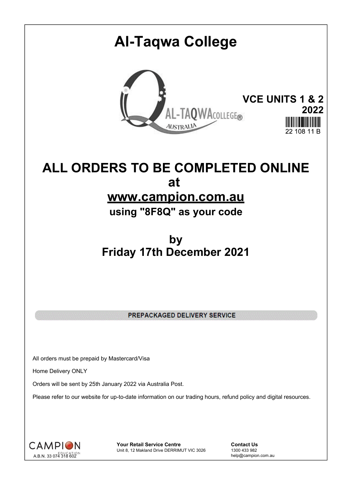## **Al-Taqwa College VCE UNITS 1 & 2** TAQWACOLLEGE® **2022 AUSTRALIA** 22.108.11 F

## **ALL ORDERS TO BE COMPLETED ONLINE at www.campion.com.au**

**using "8F8Q" as your code**

## **by Friday 17th December 2021**

PREPACKAGED DELIVERY SERVICE

All orders must be prepaid by Mastercard/Visa

Home Delivery ONLY

Orders will be sent by 25th January 2022 via Australia Post.

Please refer to our website for up-to-date information on our trading hours, refund policy and digital resources.



**Your Retail Service Centre Contact Us**<br>
Unit 8, 12 Makland Drive DERRIMUT VIC 3026
1300 433 982 Unit 8, 12 Makland Drive DERRIMUT VIC 3026

help@campion.com.au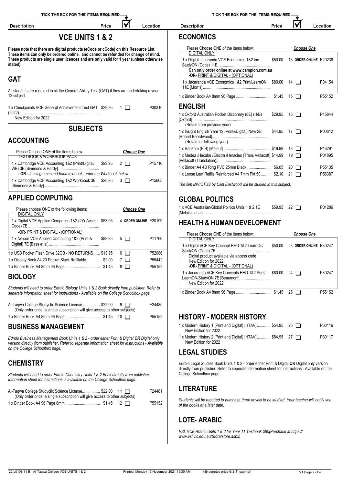| <b>Description</b>                                                                                                                                                                              | Price                      |                   | Location              | <b>Description</b>                                                                                                                                                                               | Price              |                                                     | Location         |
|-------------------------------------------------------------------------------------------------------------------------------------------------------------------------------------------------|----------------------------|-------------------|-----------------------|--------------------------------------------------------------------------------------------------------------------------------------------------------------------------------------------------|--------------------|-----------------------------------------------------|------------------|
|                                                                                                                                                                                                 | <b>VCE UNITS 1 &amp; 2</b> |                   |                       | <b>ECONOMICS</b>                                                                                                                                                                                 |                    |                                                     |                  |
| Please note that there are digital products (eCode or cCode) on this Resource List.                                                                                                             |                            |                   |                       | Please Choose ONE of the items below:                                                                                                                                                            |                    | <b>Choose One</b>                                   |                  |
| These items can only be ordered online, and cannot be refunded for change of mind.<br>These products are single user licences and are only valid for 1 year (unless otherwise<br>stated).       |                            |                   |                       | DIGITAL ONLY<br>1 x Digital Jacaranda VCE Economics 1&2 inc                                                                                                                                      |                    | \$50.00 13 ORDER ONLINE E20238                      |                  |
|                                                                                                                                                                                                 |                            |                   |                       | Can only order online at www.campion.com.au<br>-OR- PRINT & DIGITAL - (OPTIONAL)                                                                                                                 |                    |                                                     |                  |
| <b>GAT</b><br>All students are required to sit the General Ability Test (GAT) if they are undertaking a year                                                                                    |                            |                   |                       | 1 x Jacaranda VCE Economics 1&2 Print/LearnON \$80.00 14                                                                                                                                         |                    |                                                     | P04154           |
| 12 subject.                                                                                                                                                                                     |                            |                   |                       |                                                                                                                                                                                                  |                    |                                                     | P55152           |
| 1 x Checkpoints VCE General Achievement Test GAT \$29.95 1                                                                                                                                      |                            |                   | P30310                | <b>ENGLISH</b>                                                                                                                                                                                   |                    |                                                     |                  |
| New Edition for 2022                                                                                                                                                                            |                            |                   |                       | 1 x Oxford Australian Pocket Dictionary (8E) (H/B)                                                                                                                                               | $$29.95$ 16 $\Box$ |                                                     | P15844           |
|                                                                                                                                                                                                 | <b>SUBJECTS</b>            |                   |                       | (Retain from previous year)<br>1 x Insight English Year 12 (Print&Digital) New 2E \$44.95 17                                                                                                     |                    |                                                     | P00612           |
| <b>ACCOUNTING</b>                                                                                                                                                                               |                            |                   |                       | (Retain for following year)                                                                                                                                                                      |                    |                                                     |                  |
| Please Choose ONE of the items below:                                                                                                                                                           |                            | <b>Choose One</b> |                       | 1 x Medea /Hecabe /Electra /Heracles (Trans Vellacott) \$14.99 19                                                                                                                                |                    |                                                     | P16291<br>P01895 |
| <b>TEXTBOOK &amp; WORKBOOK PACK</b><br>1 x Cambridge VCE Accounting 1&2 (Print/Digital/                                                                                                         | \$99.95                    | $2\Box$           | P15710                |                                                                                                                                                                                                  |                    |                                                     |                  |
| - OR - If using a second-hand textbook, order the Workbook below:                                                                                                                               |                            |                   |                       | 1 x Binder A4 4D Ring PVC 25mm Black \$6.05 20<br>1 x Loose Leaf Refills Reinforced A4 7mm Pkt 50  \$2.10 21                                                                                     |                    |                                                     | P55135<br>P56387 |
| 1 x Cambridge VCE Accounting 1&2 Workbook 3E \$28.95 3                                                                                                                                          |                            |                   | P15665                | The film INVICTUS by Clint Eastwood will be studied in this subject.                                                                                                                             |                    |                                                     |                  |
| <b>APPLIED COMPUTING</b>                                                                                                                                                                        |                            |                   |                       | <b>GLOBAL POLITICS</b>                                                                                                                                                                           |                    |                                                     |                  |
| Please choose ONE of the following items:                                                                                                                                                       |                            | <b>Choose One</b> |                       | 1 x VCE Australian/Global Politics Units 1 & 2 1E                                                                                                                                                | $$59.95$ 22 $\Box$ |                                                     | P01286           |
| DIGITAL ONLY<br>1 x Digital VCE Applied Computing 1&2 (2Yr Access \$53.95                                                                                                                       |                            |                   | 4 ORDER ONLINE E20199 | <b>HEALTH &amp; HUMAN DEVELOPMENT</b>                                                                                                                                                            |                    |                                                     |                  |
|                                                                                                                                                                                                 |                            |                   |                       |                                                                                                                                                                                                  |                    |                                                     |                  |
| -OR- PRINT & DIGITAL - (OPTIONAL)<br>1 x Nelson VCE Applied Computing 1&2 (Print &                                                                                                              | \$88.95                    | $5\Box$           | P11760                | Please Choose ONE of the items below:<br><b>DIGITAL ONLY</b>                                                                                                                                     |                    | <b>Choose One</b><br>\$50.00 23 ORDER ONLINE E30247 |                  |
| 1 x USB Pocket Flash Drive 32GB - NO RETURNS  \$13.95                                                                                                                                           |                            | $6$ $\Box$        | P52086                | 1 x Digital VCE Key Concept HHD 1&2 LearnOn/                                                                                                                                                     |                    |                                                     |                  |
| 1 x Display Book A4 20 Pocket Black Refillable \$2.00 7                                                                                                                                         |                            |                   | P55442                | Digital product available via access code<br>New Edition for 2022                                                                                                                                |                    |                                                     |                  |
|                                                                                                                                                                                                 |                            |                   | P55152                | -OR- PRINT & DIGITAL - (OPTIONAL)<br>1 x Jacaranda VCE Key Concepts HHD 1&2 Print/ \$80.00 24                                                                                                    |                    |                                                     | P30247           |
| <b>BIOLOGY</b>                                                                                                                                                                                  |                            |                   |                       | New Edition for 2022                                                                                                                                                                             |                    |                                                     |                  |
| Students will need to order Edrolo Biology Units 1 & 2 Book directly from publisher. Refer to<br>seperate information sheet for instructions - Available on the College Schoolbox page.         |                            |                   |                       |                                                                                                                                                                                                  |                    |                                                     | P55152           |
| Al-Tagwa College Studyclix Science License \$22.00 9                                                                                                                                            |                            |                   | F24480                |                                                                                                                                                                                                  |                    |                                                     |                  |
| (Only order once; a single subscription will give access to other subjects)                                                                                                                     |                            |                   | P55152                | <b>HISTORY - MODERN HISTORY</b>                                                                                                                                                                  |                    |                                                     |                  |
| <b>BUSINESS MANAGEMENT</b>                                                                                                                                                                      |                            |                   |                       | 1 x Modern History 1 (Print and Digital) [HTAV] \$54.95 26<br>New Edition for 2022                                                                                                               |                    |                                                     | P30116           |
| Edrolo Business Management Book Units 1 & 2 - order either Print & Digital OR Digital only<br>version directly from publisher. Refer to seperate information sheet for instructions - Available |                            |                   |                       | 1 x Modern History 2 (Print and Digital) [HTAV] \$54.95 27<br>New Edition for 2022                                                                                                               |                    |                                                     | P30117           |
| on the College Schoolbox page.                                                                                                                                                                  |                            |                   |                       | <b>LEGAL STUDIES</b>                                                                                                                                                                             |                    |                                                     |                  |
| <b>CHEMISTRY</b>                                                                                                                                                                                |                            |                   |                       | Edrolo Legal Studies Book Units 1 & 2 - order either Print & Digital OR Digital only version<br>directly from publisher. Refer to seperate information sheet for instructions - Available on the |                    |                                                     |                  |
| Students will need to order Edrolo Chemistry Units 1 & 2 Book directly from publisher.<br>Information sheet for instructions is available on the College Schoolbox page.                        |                            |                   |                       | College Schoolbox page.                                                                                                                                                                          |                    |                                                     |                  |
| Al-Taqwa College Studyclix Science License \$22.00 11<br>(Only order once; a single subscription will give access to other subjects)                                                            |                            |                   | F24481                | <b>LITERATURE</b>                                                                                                                                                                                |                    |                                                     |                  |
|                                                                                                                                                                                                 |                            |                   | P55152                | Students will be required to purchase three novels to be studied. Your teacher will notify you                                                                                                   |                    |                                                     |                  |

*Students will be required to purchase three novels to be studied. Your teacher will notify you of the books at a later date.*

## **LOTE- ARABIC**

*VSL VCE Arabic Units 1 & 2 for Year 11 Textbook \$80(Purchase at https:// www.vsl.vic.edu.au/Store/store.aspx)*

1 x Binder Book A4 96 Page 8mm ................................. \$1.45 12 P55152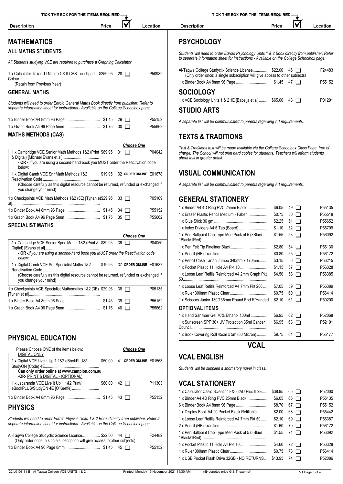| <b>Description</b>                                                                                                                                                                | Price      |                   | Location                       | <b>Description</b>                                                                                                                                                                       | Price       |                   | Location         |
|-----------------------------------------------------------------------------------------------------------------------------------------------------------------------------------|------------|-------------------|--------------------------------|------------------------------------------------------------------------------------------------------------------------------------------------------------------------------------------|-------------|-------------------|------------------|
|                                                                                                                                                                                   |            |                   |                                |                                                                                                                                                                                          |             |                   |                  |
| <b>MATHEMATICS</b>                                                                                                                                                                |            |                   |                                | <b>PSYCHOLOGY</b>                                                                                                                                                                        |             |                   |                  |
| <b>ALL MATHS STUDENTS</b>                                                                                                                                                         |            |                   |                                | Students will need to order Edrolo Psychology Units 1 & 2 Book directly from publisher. Refer                                                                                            |             |                   |                  |
| All Students studying VCE are required to purchase a Graphing Calculator                                                                                                          |            |                   |                                | to seperate information sheet for instructions - Available on the College Schoolbox page.                                                                                                |             |                   |                  |
| 1 x Calculator Texas TI-Nspire CX II CAS Touchpad \$259.95 28                                                                                                                     |            |                   | P50982                         | Al-Taqwa College Studyclix Science License \$22.00 46<br>(Only order once; a single subscription will give access to other subjects)                                                     |             |                   | F24483           |
|                                                                                                                                                                                   |            |                   |                                |                                                                                                                                                                                          |             |                   | P55152           |
| (Retain from Previous Year)                                                                                                                                                       |            |                   |                                | <b>SOCIOLOGY</b>                                                                                                                                                                         |             |                   |                  |
| <b>GENERAL MATHS</b>                                                                                                                                                              |            |                   |                                | 1 x VCE Sociology Units 1 & 2 1E [Babelja et al] \$65.00 48                                                                                                                              |             |                   | P01291           |
| Students will need to order Edrolo General Maths Book directly from publisher. Refer to<br>seperate information sheet for instructions - Available on the College Schoolbox page. |            |                   |                                | <b>STUDIO ARTS</b>                                                                                                                                                                       |             |                   |                  |
|                                                                                                                                                                                   |            |                   | P55152                         | A separate list will be communicated to parents regarding Art requirements.                                                                                                              |             |                   |                  |
|                                                                                                                                                                                   |            |                   | P55662                         |                                                                                                                                                                                          |             |                   |                  |
| <b>MATHS METHODS (CAS)</b>                                                                                                                                                        |            |                   |                                | <b>TEXTS &amp; TRADITIONS</b>                                                                                                                                                            |             |                   |                  |
|                                                                                                                                                                                   |            | <b>Choose One</b> |                                |                                                                                                                                                                                          |             |                   |                  |
| 1 x Cambridge VCE Senior Math Methods 1&2 (Print \$89.95 31                                                                                                                       |            |                   | P04042                         | Text & Traditions text will be made available via the College Schoolbox Class Page, free of<br>charge. The School will not print hard copies for students. Teachers will inform students |             |                   |                  |
| - OR - If you are using a second-hand book you MUST order the Reactivation code<br>below:                                                                                         |            |                   |                                | about this in greater detail.                                                                                                                                                            |             |                   |                  |
| 1 x Digital Camb VCE Snr Math Methods 1&2                                                                                                                                         |            |                   | \$19.95 32 ORDER ONLINE E01678 | <b>VISUAL COMMUNICATION</b>                                                                                                                                                              |             |                   |                  |
| (Choose carefully as this digital resource cannot be returned, refunded or exchanged if<br>you change your mind)                                                                  |            |                   |                                | A separate list will be communicated to parents regarding Art requirements.                                                                                                              |             |                   |                  |
| 1 x Checkpoints VCE Math Methods 1&2 (3E) [Tynan et\$29.95 33                                                                                                                     |            |                   | P05109                         | <b>GENERAL STATIONERY</b>                                                                                                                                                                |             |                   |                  |
|                                                                                                                                                                                   |            |                   | P55152                         |                                                                                                                                                                                          |             |                   | P55135           |
|                                                                                                                                                                                   |            |                   | P55662                         |                                                                                                                                                                                          |             |                   | P55518           |
| <b>SPECIALIST MATHS</b>                                                                                                                                                           |            |                   |                                |                                                                                                                                                                                          |             |                   | P55652           |
|                                                                                                                                                                                   |            |                   |                                |                                                                                                                                                                                          |             | $52$ $\Box$       | P55709<br>P56092 |
|                                                                                                                                                                                   |            | <b>Choose One</b> |                                | 1 x Pen Ballpoint Cap Type Med Pack of 5 (3Blue/ \$1.55 53                                                                                                                               |             |                   |                  |
| 1 x Cambridge VCE Senior Spec Maths 1&2 (Print & \$89.95 36                                                                                                                       |            |                   | P04050                         |                                                                                                                                                                                          |             |                   | P56130           |
| - OR -If you are using a second-hand book you MUST order the Reactivation code                                                                                                    |            |                   |                                |                                                                                                                                                                                          |             |                   | P56172           |
| below:<br>1 x Digital Camb VCE Snr Specialist Maths 1&2                                                                                                                           |            |                   | \$19.95 37 ORDER ONLINE E01687 | 1 x Pencil Case Tartan Jumbo 340mm x 170mm \$3.15 56                                                                                                                                     |             |                   | P56215           |
|                                                                                                                                                                                   |            |                   |                                |                                                                                                                                                                                          |             |                   | P56328           |
| (Choose carefully as this digital resource cannot be returned, refunded or exchanged if<br>you change your mind)                                                                  |            |                   |                                | 1 x Loose Leaf Refills Reinforced A4 2mm Graph Pkt \$4.50 58                                                                                                                             |             |                   | P56385           |
| 1 x Checkpoints VCE Specialist Mathematics 1&2 (3E) \$29.95 38                                                                                                                    |            |                   | P05135                         | 1 x Loose Leaf Refills Reinforced A4 7mm Pkt 200  \$7.05                                                                                                                                 |             | $59$ $\Box$       | P56389           |
|                                                                                                                                                                                   |            |                   |                                |                                                                                                                                                                                          |             | $60$ $\Box$       | P56414           |
|                                                                                                                                                                                   |            |                   | P55152                         | 1 x Scissors Junior 130/135mm Round End R/Handed. \$2.10 61                                                                                                                              |             |                   | P50200           |
|                                                                                                                                                                                   |            |                   | P55662                         | <b>OPTIONAL ITEMS</b>                                                                                                                                                                    |             |                   |                  |
|                                                                                                                                                                                   |            |                   |                                | 1 x Hand Sanitiser Gel 70% Ethanol 100ml  \$6.95                                                                                                                                         |             | $62$ $\Box$       | P52068           |
|                                                                                                                                                                                   |            |                   |                                | 1 x Sunscreen SPF 30+ UV Protection 35ml Cancer                                                                                                                                          |             | $$6.95$ 63 $\Box$ | P52191           |
|                                                                                                                                                                                   |            |                   |                                | 1 x Book Covering Roll 45cm x 5m (80 Micron)  \$9.75 64                                                                                                                                  |             |                   | P55177           |
| <b>PHYSICAL EDUCATION</b>                                                                                                                                                         |            |                   |                                |                                                                                                                                                                                          |             |                   |                  |
| Please Choose ONE of the items below:                                                                                                                                             |            | <b>Choose One</b> |                                |                                                                                                                                                                                          | <b>VCAL</b> |                   |                  |
| <b>DIGITAL ONLY</b>                                                                                                                                                               |            |                   | 41 ORDER ONLINE E01563         | <b>VCAL ENGLISH</b>                                                                                                                                                                      |             |                   |                  |
| 1 x Digital VCE Live it Up 1 1&2 eBookPLUS/<br>Can only order online at www.campion.com.au                                                                                        | \$50.00    |                   |                                | Students will be supplied a short story novel in class.                                                                                                                                  |             |                   |                  |
| -OR- PRINT & DIGITAL - (OPTIONAL)                                                                                                                                                 |            |                   |                                |                                                                                                                                                                                          |             |                   |                  |
| 1 x Jacaranda VCE Live It Up 1 1&2 Print/<br>eBookPLUS/StudyON 4E [O'Keeffe]                                                                                                      | \$80.00 42 |                   | P11303                         | <b>VCAL STATIONERY</b>                                                                                                                                                                   |             |                   |                  |
|                                                                                                                                                                                   |            |                   | P55152                         | 1 x Calculator Casio Scientific FX-82AU Plus II 2E \$38.95                                                                                                                               |             | $65$ $\Box$       | P52000<br>P55135 |
|                                                                                                                                                                                   |            |                   |                                |                                                                                                                                                                                          |             | 66 □<br>67 $\Box$ | P55152           |
| <b>PHYSICS</b>                                                                                                                                                                    |            |                   |                                | 1 x Display Book A4 20 Pocket Black Refillable \$2.00 68                                                                                                                                 |             |                   | P55442           |

*Students will need to order Edrolo Physics Units 1 & 2 Book directly from publisher. Refer to seperate information sheet for instructions - Available on the College Schoolbox page.*

| Al-Tagwa College Studyclix Science License \$22.00<br>44 $\Box$<br>(Only order once; a single subscription will give access to other subjects) | F24482 | 1 x Pen Ballpoint Cap Type Med Pack of 5 (3Blue/ | $$1.55$ 71 [ | P56092 |
|------------------------------------------------------------------------------------------------------------------------------------------------|--------|--------------------------------------------------|--------------|--------|
|                                                                                                                                                | P55152 |                                                  | \$4.60       | P56328 |
|                                                                                                                                                |        | 1 x Ruler 300mm Plastic Clear                    | \$0.75       | P56414 |

22 L0108 11 B - Al-Taqwa College VCE UNITS 1 & 2 Printed: Monday 15 November 2021 11:30 AM (@ denotes price G.S.T. exempt) V1 Page 3 of 4

1 x Loose Leaf Refills Reinforced A4 7mm Pkt 50 ......... \$2.10 69 | P56387 2 x Pencil (HB) Tradition................................................. \$1.60 70 P56172

4 x Pocket Plastic 11 Hole A4 Pkt 10 ............................. \$4.60 72 P56328 1 x Ruler 300mm Plastic Clear....................................... \$0.75 73 P56414 1 x USB Pocket Flash Drive 32GB - NO RETURNS...... \$13.95 74 PS2086

1 x Pen Ballpoint Cap Type Med Pack of 5 (3Blue/ \$1.55 71